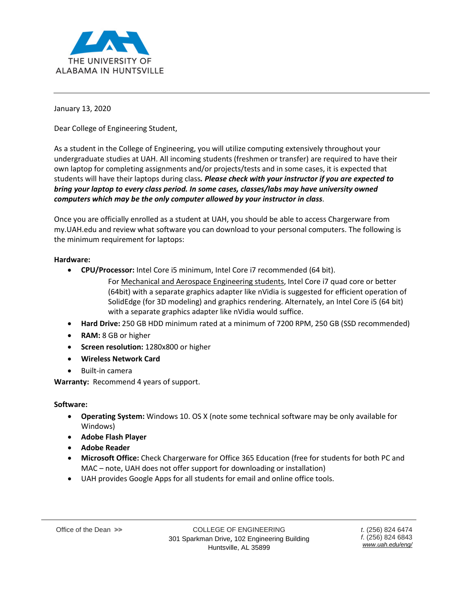

January 13, 2020

Dear College of Engineering Student,

As a student in the College of Engineering, you will utilize computing extensively throughout your undergraduate studies at UAH. All incoming students (freshmen or transfer) are required to have their own laptop for completing assignments and/or projects/tests and in some cases, it is expected that students will have their laptops during class*. Please check with your instructor if you are expected to bring your laptop to every class period. In some cases, classes/labs may have university owned computers which may be the only computer allowed by your instructor in class*.

Once you are officially enrolled as a student at UAH, you should be able to access Chargerware from my.UAH.edu and review what software you can download to your personal computers. The following is the minimum requirement for laptops:

## **Hardware:**

- **CPU/Processor:** Intel Core i5 minimum, Intel Core i7 recommended (64 bit).
	- For Mechanical and Aerospace Engineering students, Intel Core i7 quad core or better (64bit) with a separate graphics adapter like nVidia is suggested for efficient operation of SolidEdge (for 3D modeling) and graphics rendering. Alternately, an Intel Core i5 (64 bit) with a separate graphics adapter like nVidia would suffice.
- **Hard Drive:** 250 GB HDD minimum rated at a minimum of 7200 RPM, 250 GB (SSD recommended)
- **RAM:** 8 GB or higher
- **Screen resolution:** 1280x800 or higher
- **Wireless Network Card**
- Built-in camera

**Warranty:** Recommend 4 years of support.

## **Software:**

- **Operating System:** Windows 10. OS X (note some technical software may be only available for Windows)
- **Adobe Flash Player**
- **Adobe Reader**
- **Microsoft Office:** Check Chargerware for Office 365 Education (free for students for both PC and MAC – note, UAH does not offer support for downloading or installation)
- UAH provides Google Apps for all students for email and online office tools.